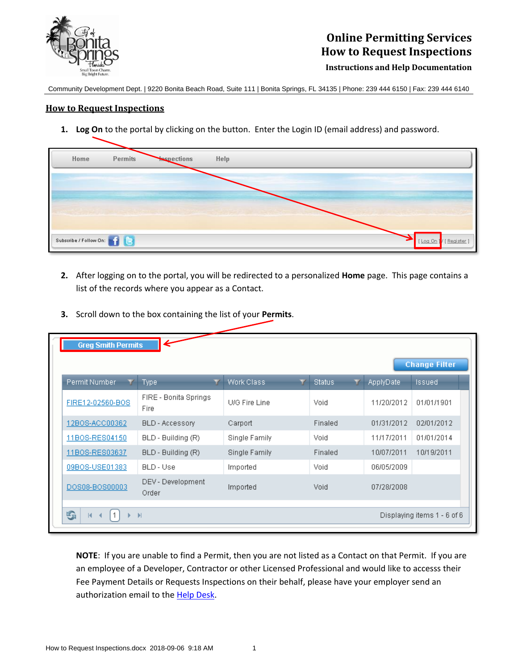

## **Online Permitting Services How to Request Inspections**

**Instructions and Help Documentation**

Community Development Dept. | 9220 Bonita Beach Road, Suite 111 | Bonita Springs, FL 34135 | Phone: 239 444 6150 | Fax: 239 444 6140

## **How to Request Inspections**

**1. Log On** to the portal by clicking on the button. Enter the Login ID (email address) and password.

| Home | Permits                   | <b>Wepections</b> | Help |                              |
|------|---------------------------|-------------------|------|------------------------------|
|      |                           |                   |      |                              |
|      |                           |                   |      |                              |
|      |                           |                   |      |                              |
|      | Subscribe / Follow On: 11 |                   |      | (Register)<br>$[$ Log On $]$ |

- **2.** After logging on to the portal, you will be redirected to a personalized **Home** page. This page contains a list of the records where you appear as a Contact.
- **3.** Scroll down to the box containing the list of your **Permits**.

| k<br><b>Greg Smith Permits</b><br><b>Change Filter</b> |                               |                 |               |                  |                             |  |  |
|--------------------------------------------------------|-------------------------------|-----------------|---------------|------------------|-----------------------------|--|--|
| Permit Number                                          | <b>Type</b>                   | Work Class<br>Ŧ | <b>Status</b> | <b>ApplyDate</b> | Issued                      |  |  |
| FIRE12-02560-BOS                                       | FIRE - Bonita Springs<br>Fire | U/G Fire Line   | Void          | 11/20/2012       | 01/01/1901                  |  |  |
| 12BOS-ACC00362                                         | <b>BLD</b> - Accessory        | Carport         | Finaled       | 01/31/2012       | 02/01/2012                  |  |  |
| 11BOS-RES04150                                         | BLD - Building (R)            | Single Family   | Void          | 11/17/2011       | 01/01/2014                  |  |  |
| 11BOS-RES03637                                         | BLD - Building (R)            | Single Family   | Finaled       | 10/07/2011       | 10/19/2011                  |  |  |
| 09BOS-USE01383                                         | <b>BLD - Use</b>              | Imported        | Void          | 06/05/2009       |                             |  |  |
| DOS08-BOS00003                                         | DEV - Development<br>Order    | Imported        | Void          | 07/28/2008       |                             |  |  |
| G<br>$\vert$ 1<br>к<br>$\blacktriangleleft$            | v                             |                 |               |                  | Displaying items 1 - 6 of 6 |  |  |

**NOTE**: If you are unable to find a Permit, then you are not listed as a Contact on that Permit. If you are an employee of a Developer, Contractor or other Licensed Professional and would like to accesss their Fee Payment Details or Requests Inspections on their behalf, please have your employer send an authorization email to the [Help Desk.](mailto:greg.smith@cityofbonitaspringscd.org)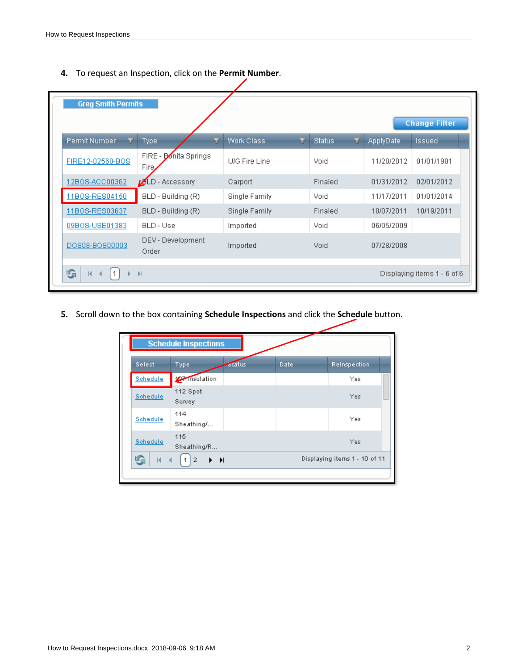**4.** To request an Inspection, click on the **Permit Number**.

| <b>Greg Smith Permits</b><br><b>Change Filter</b> |                                |                 |               |                  |            |  |  |
|---------------------------------------------------|--------------------------------|-----------------|---------------|------------------|------------|--|--|
| Permit Number<br>T.                               | Type                           | Work Class<br>Ŧ | <b>Status</b> | <b>ApplyDate</b> | Issued     |  |  |
| FIRE12-02560-BOS                                  | FIRE - Bonita Springs<br>Fire, | U/G Fire Line   | Void          | 11/20/2012       | 01/01/1901 |  |  |
| 12BOS-ACC00362                                    | <b>MLD</b> - Accessory         | Carport         | Finaled       | 01/31/2012       | 02/01/2012 |  |  |
| 11B0S-RES04150                                    | BLD - Building (R)             | Single Family   | Void          | 11/17/2011       | 01/01/2014 |  |  |
| 11B0S-RES03637                                    | BLD - Building (R)             | Single Family   | Finaled       | 10/07/2011       | 10/19/2011 |  |  |
| 09BOS-USE01383                                    | BLD - Use                      | Imported        | Void          | 06/05/2009       |            |  |  |
| DOS08-BOS00003                                    | DEV - Development<br>Order     | Imported        | Void          | 07/28/2008       |            |  |  |

**5.** Scroll down to the box containing **Schedule Inspections** and click the **Schedule** button.

| Select   | Type<br><b>Status</b>                                                         | Date | Reinspection |  |  |  |  |
|----------|-------------------------------------------------------------------------------|------|--------------|--|--|--|--|
| Schedule | <b>MAZ</b> Insulation                                                         |      | Yes          |  |  |  |  |
| Schedule | 112 Spot<br>Survey                                                            |      | Yes          |  |  |  |  |
| Schedule | 114<br>Sheathing/                                                             |      | Yes          |  |  |  |  |
| Schedule | 115<br>Sheathing/R                                                            |      | Yes          |  |  |  |  |
| G<br>м   | Displaying items 1 - 10 of 11<br>$\overline{2}$<br>$\blacktriangleright$<br>▶ |      |              |  |  |  |  |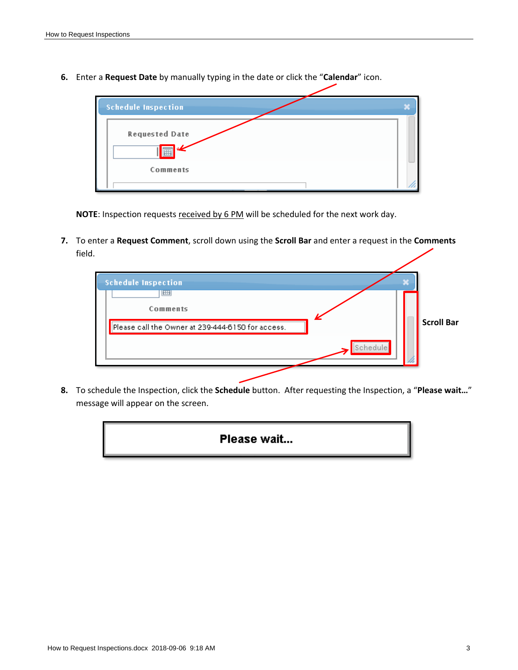**6.** Enter a **Request Date** by manually typing in the date or click the "**Calendar**" icon.



**NOTE**: Inspection requests received by 6 PM will be scheduled for the next work day.

**7.** To enter a **Request Comment**, scroll down using the **Scroll Bar** and enter a request in the **Comments** field.



**8.** To schedule the Inspection, click the **Schedule** button. After requesting the Inspection, a "**Please wait…**" message will appear on the screen.

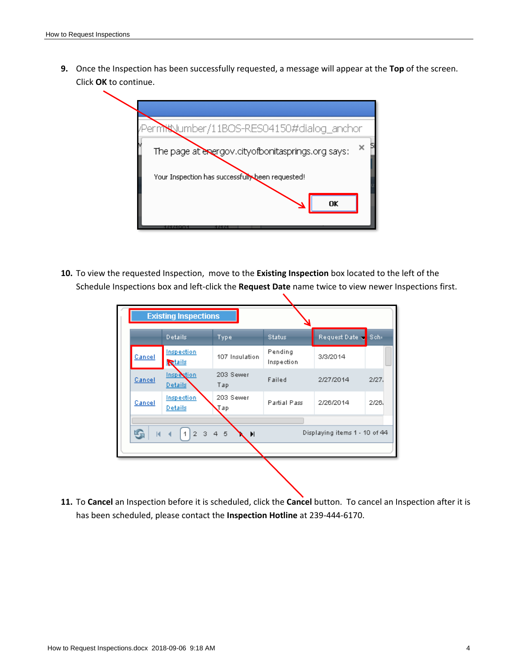**9.** Once the Inspection has been successfully requested, a message will appear at the **Top** of the screen. Click **OK** to continue.



**10.** To view the requested Inspection, move to the **Existing Inspection** box located to the left of the Schedule Inspections box and left-click the **Request Date** name twice to view newer Inspections first.

╲

| <b>Existing Inspections</b>                                            |                                     |                  |                       |                      |       |  |  |
|------------------------------------------------------------------------|-------------------------------------|------------------|-----------------------|----------------------|-------|--|--|
|                                                                        | <b>Details</b>                      | Type             | <b>Status</b>         | Request Date ve Schr |       |  |  |
| Cancel                                                                 | Inspection<br>Rtails                | 107 Insulation   | Pending<br>Inspection | 3/3/2014             |       |  |  |
| Cancel                                                                 | <b>Inspection</b><br><b>Details</b> | 203 Sewer<br>Tap | Failed                | 2/27/2014            | 2/27. |  |  |
| Cancel                                                                 | Inspection<br>Details               | 203 Sewer<br>Tap | Partial Pass          | 2/26/2014            | 2/26. |  |  |
| 2345<br>G<br>Displaying items 1 - 10 of 44<br>1 <sup>1</sup><br>К<br>Ħ |                                     |                  |                       |                      |       |  |  |
|                                                                        |                                     |                  |                       |                      |       |  |  |

**11.** To **Cancel** an Inspection before it is scheduled, click the **Cancel** button. To cancel an Inspection after it is has been scheduled, please contact the **Inspection Hotline** at 239-444-6170.